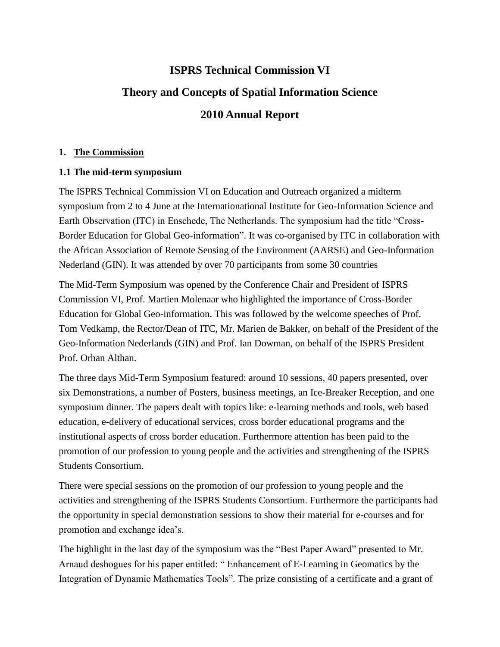# **ISPRS Technical Commission VI Theory and Concepts of Spatial Information Science 2010 Annual Report**

## **1. The Commission**

## **1.1 The mid-term symposium**

The ISPRS Technical Commission VI on Education and Outreach organized a midterm symposium from 2 to 4 June at the Internationational Institute for Geo-Information Science and Earth Observation (ITC) in Enschede, The Netherlands. The symposium had the title "Cross-Border Education for Global Geo-information". It was co-organised by ITC in collaboration with the African Association of Remote Sensing of the Environment (AARSE) and Geo-Information Nederland (GIN). It was attended by over 70 participants from some 30 countries

The Mid-Term Symposium was opened by the Conference Chair and President of ISPRS Commission VI, Prof. Martien Molenaar who highlighted the importance of Cross-Border Education for Global Geo-information. This was followed by the welcome speeches of Prof. Tom Vedkamp, the Rector/Dean of ITC, Mr. Marien de Bakker, on behalf of the President of the Geo-Information Nederlands (GIN) and Prof. Ian Dowman, on behalf of the ISPRS President Prof. Orhan Althan.

The three days Mid-Term Symposium featured: around 10 sessions, 40 papers presented, over six Demonstrations, a number of Posters, business meetings, an Ice-Breaker Reception, and one symposium dinner. The papers dealt with topics like: e-learning methods and tools, web based education, e-delivery of educational services, cross border educational programs and the institutional aspects of cross border education. Furthermore attention has been paid to the promotion of our profession to young people and the activities and strengthening of the ISPRS Students Consortium.

There were special sessions on the promotion of our profession to young people and the activities and strengthening of the ISPRS Students Consortium. Furthermore the participants had the opportunity in special demonstration sessions to show their material for e-courses and for promotion and exchange idea's.

The highlight in the last day of the symposium was the "Best Paper Award" presented to Mr. Arnaud deshogues for his paper entitled: " Enhancement of E-Learning in Geomatics by the Integration of Dynamic Mathematics Tools". The prize consisting of a certificate and a grant of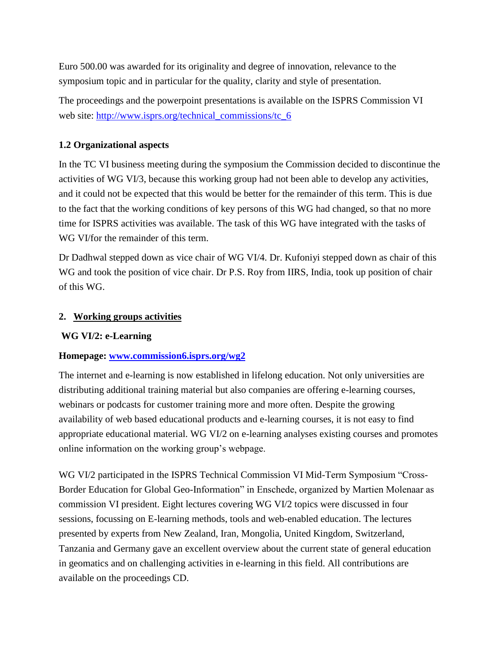Euro 500.00 was awarded for its originality and degree of innovation, relevance to the symposium topic and in particular for the quality, clarity and style of presentation.

The proceedings and the powerpoint presentations is available on the ISPRS Commission VI web site: [http://www.isprs.org/technical\\_commissions/tc\\_6](http://www.isprs.org/technical_commissions/tc_6)

## **1.2 Organizational aspects**

In the TC VI business meeting during the symposium the Commission decided to discontinue the activities of WG VI/3, because this working group had not been able to develop any activities, and it could not be expected that this would be better for the remainder of this term. This is due to the fact that the working conditions of key persons of this WG had changed, so that no more time for ISPRS activities was available. The task of this WG have integrated with the tasks of WG VI/for the remainder of this term.

Dr Dadhwal stepped down as vice chair of WG VI/4. Dr. Kufoniyi stepped down as chair of this WG and took the position of vice chair. Dr P.S. Roy from IIRS, India, took up position of chair of this WG.

#### **2. Working groups activities**

# **WG VI/2: e-Learning**

# **Homepage: [www.commission6.isprs.org/wg2](http://www.commission6.isprs.org/wg2)**

The internet and e-learning is now established in lifelong education. Not only universities are distributing additional training material but also companies are offering e-learning courses, webinars or podcasts for customer training more and more often. Despite the growing availability of web based educational products and e-learning courses, it is not easy to find appropriate educational material. WG VI/2 on e-learning analyses existing courses and promotes online information on the working group"s webpage.

WG VI/2 participated in the ISPRS Technical Commission VI Mid-Term Symposium "Cross-Border Education for Global Geo-Information" in Enschede, organized by Martien Molenaar as commission VI president. Eight lectures covering WG VI/2 topics were discussed in four sessions, focussing on E-learning methods, tools and web-enabled education. The lectures presented by experts from New Zealand, Iran, Mongolia, United Kingdom, Switzerland, Tanzania and Germany gave an excellent overview about the current state of general education in geomatics and on challenging activities in e-learning in this field. All contributions are available on the proceedings CD.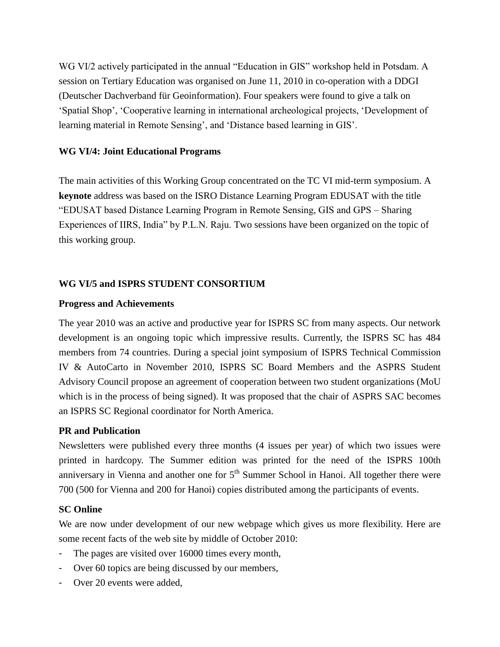WG VI/2 actively participated in the annual "Education in GIS" workshop held in Potsdam. A session on Tertiary Education was organised on June 11, 2010 in co-operation with a DDGI (Deutscher Dachverband für Geoinformation). Four speakers were found to give a talk on "Spatial Shop", "Cooperative learning in international archeological projects, "Development of learning material in Remote Sensing', and 'Distance based learning in GIS'.

#### **WG VI/4: Joint Educational Programs**

The main activities of this Working Group concentrated on the TC VI mid-term symposium. A **keynote** address was based on the ISRO Distance Learning Program EDUSAT with the title "EDUSAT based Distance Learning Program in Remote Sensing, GIS and GPS – Sharing Experiences of IIRS, India" by P.L.N. Raju. Two sessions have been organized on the topic of this working group.

#### **WG VI/5 and ISPRS STUDENT CONSORTIUM**

#### **Progress and Achievements**

The year 2010 was an active and productive year for ISPRS SC from many aspects. Our network development is an ongoing topic which impressive results. Currently, the ISPRS SC has 484 members from 74 countries. During a special joint symposium of ISPRS Technical Commission IV & AutoCarto in November 2010, ISPRS SC Board Members and the ASPRS Student Advisory Council propose an agreement of cooperation between two student organizations (MoU which is in the process of being signed). It was proposed that the chair of ASPRS SAC becomes an ISPRS SC Regional coordinator for North America.

#### **PR and Publication**

Newsletters were published every three months (4 issues per year) of which two issues were printed in hardcopy. The Summer edition was printed for the need of the ISPRS 100th anniversary in Vienna and another one for  $5<sup>th</sup>$  Summer School in Hanoi. All together there were 700 (500 for Vienna and 200 for Hanoi) copies distributed among the participants of events.

#### **SC Online**

We are now under development of our new webpage which gives us more flexibility. Here are some recent facts of the web site by middle of October 2010:

- The pages are visited over 16000 times every month,
- Over 60 topics are being discussed by our members,
- Over 20 events were added.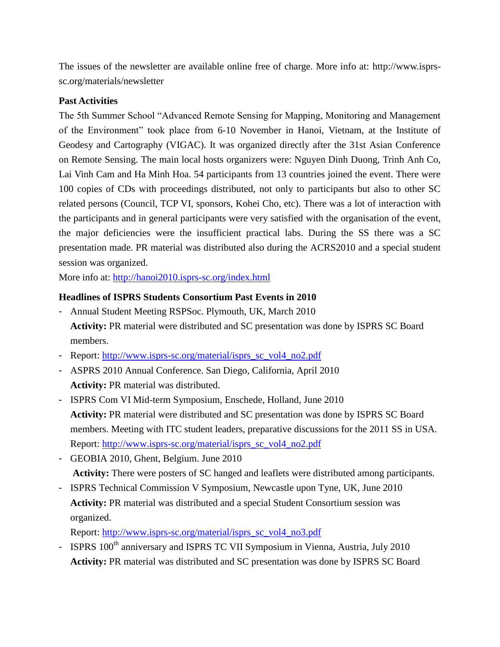The issues of the newsletter are available online free of charge. More info at: http://www.isprssc.org/materials/newsletter

### **Past Activities**

The 5th Summer School "Advanced Remote Sensing for Mapping, Monitoring and Management of the Environment" took place from 6-10 November in Hanoi, Vietnam, at the Institute of Geodesy and Cartography (VIGAC). It was organized directly after the 31st Asian Conference on Remote Sensing. The main local hosts organizers were: Nguyen Dinh Duong, Trinh Anh Co, Lai Vinh Cam and Ha Minh Hoa. 54 participants from 13 countries joined the event. There were 100 copies of CDs with proceedings distributed, not only to participants but also to other SC related persons (Council, TCP VI, sponsors, Kohei Cho, etc). There was a lot of interaction with the participants and in general participants were very satisfied with the organisation of the event, the major deficiencies were the insufficient practical labs. During the SS there was a SC presentation made. PR material was distributed also during the ACRS2010 and a special student session was organized.

More info at:<http://hanoi2010.isprs-sc.org/index.html>

# **Headlines of ISPRS Students Consortium Past Events in 2010**

- Annual Student Meeting RSPSoc. Plymouth, UK, March 2010 **Activity:** PR material were distributed and SC presentation was done by ISPRS SC Board members.
- Report: [http://www.isprs-sc.org/material/isprs\\_sc\\_vol4\\_no2.pdf](http://www.isprs-sc.org/material/isprs_sc_vol4_no2.pdf)
- ASPRS 2010 Annual Conference. San Diego, California, April 2010 **Activity:** PR material was distributed.
- ISPRS Com VI Mid-term Symposium, Enschede, Holland, June 2010 **Activity:** PR material were distributed and SC presentation was done by ISPRS SC Board members. Meeting with ITC student leaders, preparative discussions for the 2011 SS in USA. Report: [http://www.isprs-sc.org/material/isprs\\_sc\\_vol4\\_no2.pdf](http://www.isprs-sc.org/material/isprs_sc_vol4_no2.pdf)
- GEOBIA 2010, Ghent, Belgium. June 2010 **Activity:** There were posters of SC hanged and leaflets were distributed among participants.
- ISPRS Technical Commission V Symposium, Newcastle upon Tyne, UK, June 2010 **Activity:** PR material was distributed and a special Student Consortium session was organized.

Report: [http://www.isprs-sc.org/material/isprs\\_sc\\_vol4\\_no3.pdf](http://www.isprs-sc.org/material/isprs_sc_vol4_no3.pdf) 

- ISPRS 100<sup>th</sup> anniversary and ISPRS TC VII Symposium in Vienna, Austria, July 2010 **Activity:** PR material was distributed and SC presentation was done by ISPRS SC Board